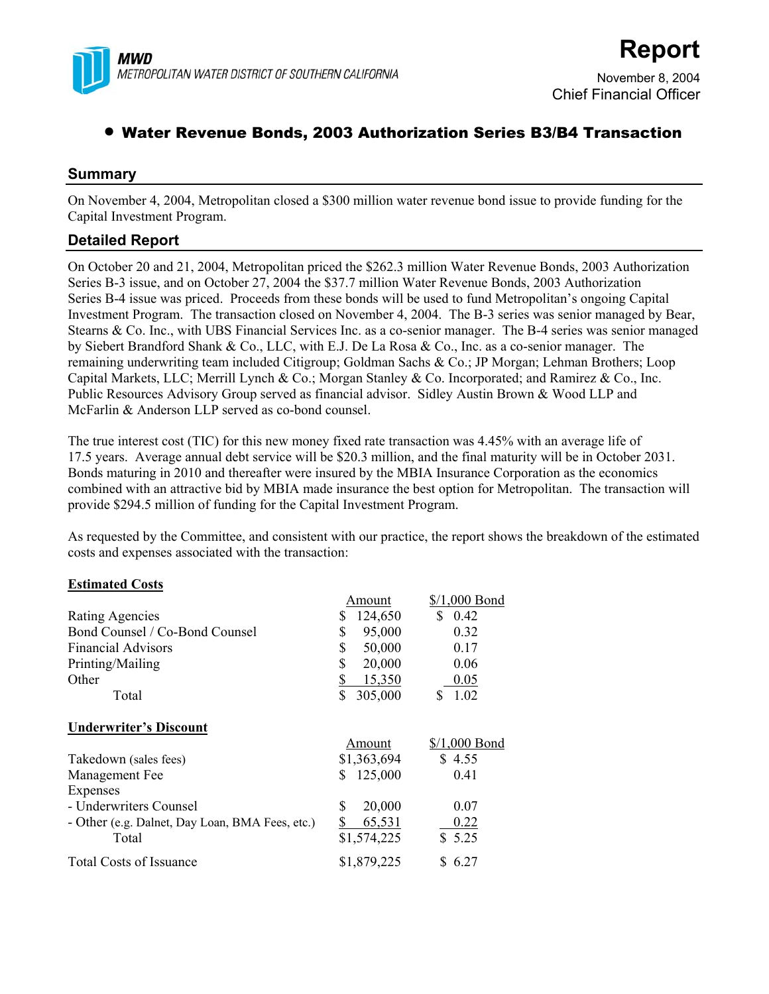

# • Water Revenue Bonds, 2003 Authorization Series B3/B4 Transaction

#### **Summary**

On November 4, 2004, Metropolitan closed a \$300 million water revenue bond issue to provide funding for the Capital Investment Program.

### **Detailed Report**

On October 20 and 21, 2004, Metropolitan priced the \$262.3 million Water Revenue Bonds, 2003 Authorization Series B-3 issue, and on October 27, 2004 the \$37.7 million Water Revenue Bonds, 2003 Authorization Series B-4 issue was priced. Proceeds from these bonds will be used to fund Metropolitan's ongoing Capital Investment Program. The transaction closed on November 4, 2004. The B-3 series was senior managed by Bear, Stearns & Co. Inc., with UBS Financial Services Inc. as a co-senior manager. The B-4 series was senior managed by Siebert Brandford Shank & Co., LLC, with E.J. De La Rosa & Co., Inc. as a co-senior manager. The remaining underwriting team included Citigroup; Goldman Sachs & Co.; JP Morgan; Lehman Brothers; Loop Capital Markets, LLC; Merrill Lynch & Co.; Morgan Stanley & Co. Incorporated; and Ramirez & Co., Inc. Public Resources Advisory Group served as financial advisor. Sidley Austin Brown & Wood LLP and McFarlin & Anderson LLP served as co-bond counsel.

The true interest cost (TIC) for this new money fixed rate transaction was 4.45% with an average life of 17.5 years. Average annual debt service will be \$20.3 million, and the final maturity will be in October 2031. Bonds maturing in 2010 and thereafter were insured by the MBIA Insurance Corporation as the economics combined with an attractive bid by MBIA made insurance the best option for Metropolitan. The transaction will provide \$294.5 million of funding for the Capital Investment Program.

As requested by the Committee, and consistent with our practice, the report shows the breakdown of the estimated costs and expenses associated with the transaction:

#### **Estimated Costs**

|                                                 | Amount        | $$/1,000$ Bond |
|-------------------------------------------------|---------------|----------------|
| <b>Rating Agencies</b>                          | 124,650<br>\$ | \$<br>0.42     |
| Bond Counsel / Co-Bond Counsel                  | \$<br>95,000  | 0.32           |
| <b>Financial Advisors</b>                       | \$<br>50,000  | 0.17           |
| Printing/Mailing                                | \$<br>20,000  | 0.06           |
| Other                                           | \$<br>15,350  | 0.05           |
| Total                                           | \$<br>305,000 | 1.02<br>S      |
| <b>Underwriter's Discount</b>                   |               |                |
|                                                 | Amount        | $$/1,000$ Bond |
| Takedown (sales fees)                           | \$1,363,694   | \$4.55         |
| Management Fee                                  | 125,000<br>\$ | 0.41           |
| Expenses                                        |               |                |
|                                                 |               |                |
| - Underwriters Counsel                          | \$<br>20,000  | 0.07           |
| - Other (e.g. Dalnet, Day Loan, BMA Fees, etc.) | \$<br>65,531  | 0.22           |
| Total                                           | \$1,574,225   | \$5.25         |